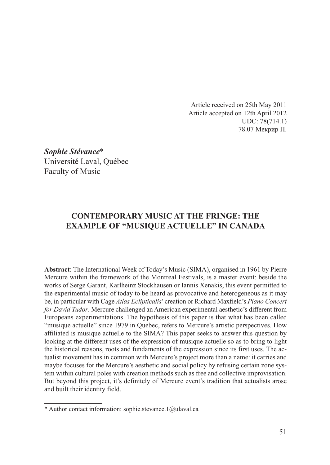Article received on 25th May 2011 Article accepted on 12th April 2012 UDC: 78(714.1) 78.07 Мекрир П.

*Sophie Stévance*\* Université Laval, Québec Faculty of Music

# **CONTEMPORARY MUSIC AT THE FRINGE: THE EXAMPLE OF "MUSIQUE ACTUELLE" IN CANADA**

**Abstract**: The International Week of Today's Music (SIMA), organised in 1961 by Pierre Mercure within the framework of the Montreal Festivals, is a master event: beside the works of Serge Garant, Karlheinz Stockhausen or Iannis Xenakis, this event permitted to the experimental music of today to be heard as provocative and heterogeneous as it may be, in particular with Cage *Atlas Eclipticalis*' creation or Richard Maxfield's *Piano Concert for David Tudor*. Mercure challenged an American experimental aesthetic's different from Europeans experimentations. The hypothesis of this paper is that what has been called "musique actuelle" since 1979 in Quebec, refers to Mercure's artistic perspectives. How affiliated is musique actuelle to the SIMA? This paper seeks to answer this question by looking at the different uses of the expression of musique actuelle so as to bring to light the historical reasons, roots and fundaments of the expression since its first uses. The actualist movement has in common with Mercure's project more than a name: it carries and maybe focuses for the Mercure's aesthetic and social policy by refusing certain zone system within cultural poles with creation methods such as free and collective improvisation. But beyond this project, it's definitely of Mercure event's tradition that actualists arose and built their identity field.

<sup>\*</sup> Author contact information: sophie.stevance.1@ulaval.ca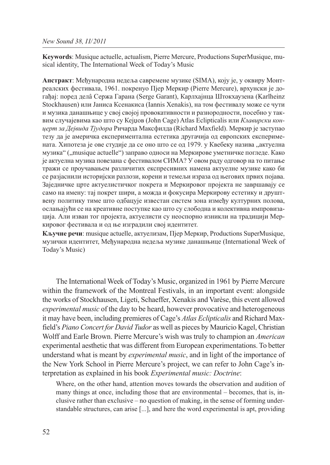**Keywords**: Musique actuelle, actualism, Pierre Mercure, Productions SuperMusique, musical identity, The International Week of Today's Music

**Апстракт**: Међународна недеља савремене музике (SIMA), коју је, у оквиру Монтреалских фестивала, 1961. покренуо Пјер Меркир (Pierre Mercure), врхунски је догађај: поред делâ Сержа Гарана (Serge Garant), Карлхајнца Штокхаузена (Karlheinz Stockhausen) или Јаниса Ксенакиса (Iannis Xenakis), на том фестивалу може се чути и музика данашњице у свој својој провокативности и разнородности, посебно у таквим случајевима као што су Кејџов (John Cage) Atlas Eclipticalis или *Клавирски концерт за Дејвида Тјудора* Ричарда Максфилда (Richard Maxfield). Меркир је заступао тезу да је америчка експериментална естетика другачија од европских експеримената. Хипотеза је ове студије да се оно што се од 1979. у Квебеку назива "актуелна музика" ("musique actuelle") заправо односи на Меркирове уметничке погледе. Како је актуелна музика повезана с фестивалом СИМА? У овом раду одговор на то питање тражи се проучавањем различитих експресивних намена актуелне музике како би се разјаснили историјски разлози, корени и темељи израза од његових првих појава. Заједничке црте актуелистичког покрета и Меркировог пројекта не завршавају се само на имену: тај покрет шири, а можда и фокусира Меркирову естетику и друштвену политику тиме што одбацује известан систем зона између културних полова, ослањајући се на креативне поступке као што су слободна и колективна импровизација. Али изван тог пројекта, актуелисти су неоспорно изникли на традицији Меркировог фестивала и од ње изградили свој идентитет.

**Кључне речи**: musique actuelle, актуелизам, Пјер Меркир, Productions SuperMusique, музички идентитет, Међународна недеља музике данашњице (International Week of Today's Music)

The International Week of Today's Music, organized in 1961 by Pierre Mercure within the framework of the Montreal Festivals, in an important event: alongside the works of Stockhausen, Ligeti, Schaeffer, Xenakis and Varèse, this event allowed *experimental music* of the day to be heard, however provocative and heterogeneous it may have been, including premieres of Cage's *Atlas Eclipticalis* and Richard Maxfield's *Piano Concert for David Tudor* as well as pieces by Mauricio Kagel, Christian Wolff and Earle Brown. Pierre Mercure's wish was truly to champion an *American* experimental aesthetic that was different from European experimentations. To better understand what is meant by *experimental music*, and in light of the importance of the New York School in Pierre Mercure's project, we can refer to John Cage's interpretation as explained in his book *Experimental music: Doctrine*:

Where, on the other hand, attention moves towards the observation and audition of many things at once, including those that are environmental – becomes, that is, inclusive rather than exclusive – no question of making, in the sense of forming understandable structures, can arise [...], and here the word experimental is apt, providing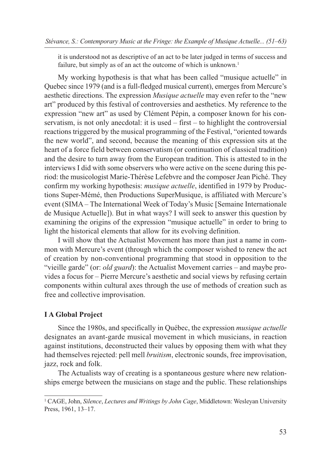it is understood not as descriptive of an act to be later judged in terms of success and failure, but simply as of an act the outcome of which is unknown.<sup>1</sup>

My working hypothesis is that what has been called "musique actuelle" in Quebec since 1979 (and is a full-fledged musical current), emerges from Mercure's aesthetic directions. The expression *Musique actuelle* may even refer to the "new art" produced by this festival of controversies and aesthetics. My reference to the expression "new art" as used by Clément Pépin, a composer known for his conservatism, is not only anecdotal: it is used – first – to highlight the controversial reactions triggered by the musical programming of the Festival, "oriented towards the new world", and second, because the meaning of this expression sits at the heart of a force field between conservatism (or continuation of classical tradition) and the desire to turn away from the European tradition. This is attested to in the interviews I did with some observers who were active on the scene during this period: the musicologist Marie-Thérèse Lefebvre and the composer Jean Piché. They confirm my working hypothesis: *musique actuelle*, identified in 1979 by Productions Super-Mémé, then Productions SuperMusique, is affiliated with Mercure's event (SIMA – The International Week of Today's Music [Semaine Internationale de Musique Actuelle]). But in what ways? I will seek to answer this question by examining the origins of the expression "musique actuelle" in order to bring to light the historical elements that allow for its evolving definition.

I will show that the Actualist Movement has more than just a name in common with Mercure's event (through which the composer wished to renew the act of creation by non-conventional programming that stood in opposition to the "vieille garde" (or: *old guard*): the Actualist Movement carries – and maybe provides a focus for – Pierre Mercure's aesthetic and social views by refusing certain components within cultural axes through the use of methods of creation such as free and collective improvisation.

# **I A Global Project**

Since the 1980s, and specifically in Québec, the expression *musique actuelle* designates an avant-garde musical movement in which musicians, in reaction against institutions, deconstructed their values by opposing them with what they had themselves rejected: pell mell *bruitism*, electronic sounds, free improvisation, jazz, rock and folk.

The Actualists way of creating is a spontaneous gesture where new relationships emerge between the musicians on stage and the public. These relationships

<sup>1</sup> CAGE, John, *Silence*, *Lectures and Writings by John Cage*, Middletown: Wesleyan University Press, 1961, 13–17.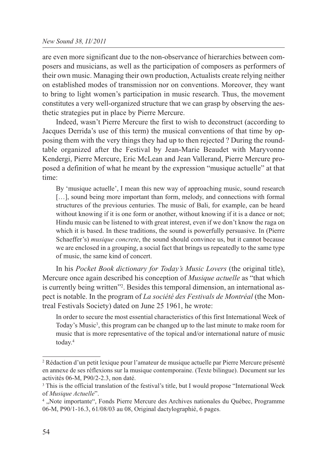are even more significant due to the non-observance of hierarchies between composers and musicians, as well as the participation of composers as performers of their own music. Managing their own production, Actualists create relying neither on established modes of transmission nor on conventions. Moreover, they want to bring to light women's participation in music research. Thus, the movement constitutes a very well-organized structure that we can grasp by observing the aesthetic strategies put in place by Pierre Mercure.

Indeed, wasn't Pierre Mercure the first to wish to deconstruct (according to Jacques Derrida's use of this term) the musical conventions of that time by opposing them with the very things they had up to then rejected ? During the roundtable organized after the Festival by Jean-Marie Beaudet with Maryvonne Kendergi, Pierre Mercure, Eric McLean and Jean Vallerand, Pierre Mercure proposed a definition of what he meant by the expression "musique actuelle" at that time:

By 'musique actuelle', I mean this new way of approaching music, sound research [...], sound being more important than form, melody, and connections with formal structures of the previous centuries. The music of Bali, for example, can be heard without knowing if it is one form or another, without knowing if it is a dance or not; Hindu music can be listened to with great interest, even if we don't know the raga on which it is based. In these traditions, the sound is powerfully persuasive. In (Pierre Schaeffer's) *musique concrete*, the sound should convince us, but it cannot because we are enclosed in a grouping, a social fact that brings us repeatedly to the same type of music, the same kind of concert.

In his *Pocket Book dictionary for Today's Music Lovers* (the original title), Mercure once again described his conception of *Musique actuelle* as "that which is currently being written"2 . Besides this temporal dimension, an international aspect is notable. In the program of *La société des Festivals de Montréal* (the Montreal Festivals Society) dated on June 25 1961, he wrote:

In order to secure the most essential characteristics of this first International Week of Today's Music<sup>3</sup>, this program can be changed up to the last minute to make room for music that is more representative of the topical and/or international nature of music today.4

<sup>2</sup> Rédaction d'un petit lexique pour l'amateur de musique actuelle par Pierre Mercure présenté en annexe de ses réflexions sur la musique contemporaine. (Texte bilingue). Document sur les activités 06-M, P90/2-2.3, non daté.

<sup>&</sup>lt;sup>3</sup> This is the official translation of the festival's title, but I would propose "International Week of *Musique Actuelle*".

<sup>4</sup> "Note importante", Fonds Pierre Mercure des Archives nationales du Québec, Programme 06-M, P90/1-16.3, 61/08/03 au 08, Original dactylographié, 6 pages.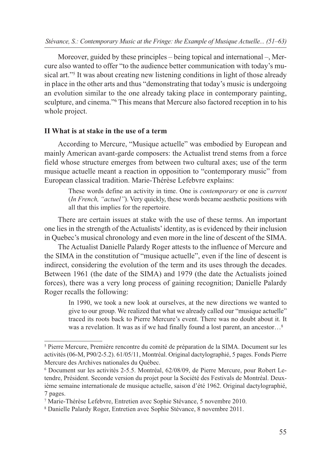Moreover, guided by these principles – being topical and international –, Mercure also wanted to offer "to the audience better communication with today's musical art."5 It was about creating new listening conditions in light of those already in place in the other arts and thus "demonstrating that today's music is undergoing an evolution similar to the one already taking place in contemporary painting, sculpture, and cinema."<sup>6</sup> This means that Mercure also factored reception in to his whole project.

### **II What is at stake in the use of a term**

According to Mercure, "Musique actuelle" was embodied by European and mainly American avant-garde composers: the Actualist trend stems from a force field whose structure emerges from between two cultural axes; use of the term musique actuelle meant a reaction in opposition to "contemporary music" from European classical tradition. Marie-Thérèse Lefebvre explains:

These words define an activity in time. One is *contemporary* or one is *current* (*In French, "actuel"*). Very quickly, these words became aesthetic positions with all that this implies for the repertoire.

There are certain issues at stake with the use of these terms. An important one lies in the strength of the Actualists' identity, as is evidenced by their inclusion in Quebec's musical chronology and even more in the line of descent of the SIMA.

The Actualist Danielle Palardy Roger attests to the influence of Mercure and the SIMA in the constitution of "musique actuelle", even if the line of descent is indirect, considering the evolution of the term and its uses through the decades. Between 1961 (the date of the SIMA) and 1979 (the date the Actualists joined forces), there was a very long process of gaining recognition; Danielle Palardy Roger recalls the following:

In 1990, we took a new look at ourselves, at the new directions we wanted to give to our group. We realized that what we already called our "musique actuelle" traced its roots back to Pierre Mercure's event. There was no doubt about it. It was a revelation. It was as if we had finally found a lost parent, an ancestor...<sup>8</sup>

<sup>5</sup> Pierre Mercure, Première rencontre du comité de préparation de la SIMA. Document sur les activités (06-M, P90/2-5.2). 61/05/11, Montréal. Original dactylographié, 5 pages. Fonds Pierre Mercure des Archives nationales du Québec.

<sup>6</sup> Document sur les activités 2-5.5. Montréal, 62/08/09, de Pierre Mercure, pour Robert Letendre, Président. Seconde version du projet pour la Société des Festivals de Montréal. Deuxième semaine internationale de musique actuelle, saison d'été 1962. Original dactylographié, 7 pages.

<sup>7</sup> Marie-Thérèse Lefebvre, Entretien avec Sophie Stévance, 5 novembre 2010.

<sup>8</sup> Danielle Palardy Roger, Entretien avec Sophie Stévance, 8 novembre 2011.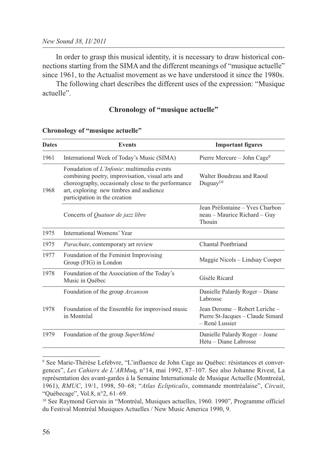In order to grasp this musical identity, it is necessary to draw historical connections starting from the SIMA and the different meanings of "musique actuelle" since 1961, to the Actualist movement as we have understood it since the 1980s.

The following chart describes the different uses of the expression: "Musique actuelle".

# **Chronology of "musique actuelle"**

| <b>Dates</b> | <b>Events</b>                                                                                                                                                                                                                    | <b>Important figures</b>                                                              |
|--------------|----------------------------------------------------------------------------------------------------------------------------------------------------------------------------------------------------------------------------------|---------------------------------------------------------------------------------------|
| 1961         | International Week of Today's Music (SIMA)                                                                                                                                                                                       | Pierre Mercure - John Cage <sup>9</sup>                                               |
| 1968         | Fonudation of L'Infonie: multimedia events<br>combining poetry, improvisation, visual arts and<br>choreography, occasionaly close to the performance<br>art, exploring new timbres and audience<br>participation in the creation | Walter Boudreau and Raoul<br>Duguay <sup>10</sup>                                     |
|              | Concerts of Quatuor de jazz libre                                                                                                                                                                                                | Jean Préfontaine – Yves Charbon<br>neau - Maurice Richard - Guy<br>Thouin             |
| 1975         | International Womens' Year                                                                                                                                                                                                       |                                                                                       |
| 1975         | <i>Parachute</i> , contemporary art review                                                                                                                                                                                       | <b>Chantal Pontbriand</b>                                                             |
| 1977         | Foundation of the Feminist Improvising<br>Group (FIG) in London                                                                                                                                                                  | Maggie Nicols – Lindsay Cooper                                                        |
| 1978         | Foundation of the Association of the Today's<br>Music in Québec                                                                                                                                                                  | Gisèle Ricard                                                                         |
|              | Foundation of the group Arcanson                                                                                                                                                                                                 | Danielle Palardy Roger - Diane<br>Labrosse                                            |
| 1978         | Foundation of the Ensemble for improvised music<br>in Montréal                                                                                                                                                                   | Jean Derome - Robert Leriche -<br>Pierre St-Jacques - Claude Simard<br>- René Lussier |
| 1979         | Foundation of the group SuperMémé                                                                                                                                                                                                | Danielle Palardy Roger - Joane<br>Hétu – Diane Labrosse                               |

#### **Chronology of "musique actuelle"**

<sup>9</sup> See Marie-Thérèse Lefebvre, "L'influence de John Cage au Québec: résistances et convergences", *Les Cahiers de L'ARMu*q, n°14, mai 1992, 87–107. See also Johanne Rivest, La représentation des avant-gardes à la Semaine Internationale de Musique Actuelle (Montreéal, 1961), *RMUC*, 19/1, 1998, 50–68; "*Atlas Eclipticalis*, commande montréalaise", *Circuit*, "Québecage", Vol.8, n°2, 61–69.

<sup>&</sup>lt;sup>10</sup> See Raymond Gervais in "Montréal, Musiques actuelles, 1960. 1990", Programme officiel du Festival Montréal Musiques Actuelles / New Music America 1990, 9.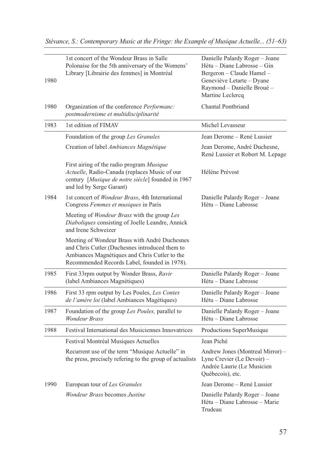| 1980 | 1st concert of the Wondeur Brass in Salle<br>Polonaise for the 5th anniversary of the Womens'<br>Library [Librairie des femmes] in Montréal                                                      | Danielle Palardy Roger - Joane<br>Hétu – Diane Labrosse – Gin<br>Bergeron - Claude Hamel -<br>Geneviève Letarte - Dyane<br>Raymond - Danielle Broué -<br>Martine Leclercq |
|------|--------------------------------------------------------------------------------------------------------------------------------------------------------------------------------------------------|---------------------------------------------------------------------------------------------------------------------------------------------------------------------------|
| 1980 | Organization of the conference Performanc:<br>postmodernisme et multidisciplinarité                                                                                                              | Chantal Pontbriand                                                                                                                                                        |
| 1983 | 1st edition of FIMAV                                                                                                                                                                             | Michel Levasseur                                                                                                                                                          |
|      | Foundation of the group Les Granules                                                                                                                                                             | Jean Derome – René Lussier                                                                                                                                                |
|      | Creation of label Ambiances Magnétique                                                                                                                                                           | Jean Derome, André Duchesne,<br>René Lussier et Robert M. Lepage                                                                                                          |
|      | First airing of the radio program Musique<br>Actuelle, Radio-Canada (replaces Music of our<br>century [Musique de notre siècle] founded in 1967<br>and led by Serge Garant)                      | Hélène Prévost                                                                                                                                                            |
| 1984 | 1st concert of Wondeur Brass, 4th International<br>Congress Femmes et musiques in Paris                                                                                                          | Danielle Palardy Roger - Joane<br>Hétu - Diane Labrosse                                                                                                                   |
|      | Meeting of <i>Wondeur Brass</i> with the group Les<br>Diaboliques consisting of Joelle Leandre, Annick<br>and Irene Schweizer                                                                    |                                                                                                                                                                           |
|      | Meeting of Wondeur Brass with André Duchesnes<br>and Chris Cutler (Duchesnes introduced them to<br>Ambiances Magnétiques and Chris Cutler to the<br>Recommended Records Label, founded in 1978). |                                                                                                                                                                           |
| 1985 | First 33rpm output by Wonder Brass, Ravir<br>(label Ambiances Magnétiques)                                                                                                                       | Danielle Palardy Roger - Joane<br>Hétu - Diane Labrosse                                                                                                                   |
| 1986 | First 33 rpm output by Les Poules, Les Contes<br>de l'amère loi (label Ambiances Magétiques)                                                                                                     | Danielle Palardy Roger - Joane<br>Hétu - Diane Labrosse                                                                                                                   |
| 1987 | Foundation of the group Les Poules, parallel to<br>Wondeur Brass                                                                                                                                 | Danielle Palardy Roger - Joane<br>Hétu – Diane Labrosse                                                                                                                   |
| 1988 | Festival International des Musiciennes Innovatrices                                                                                                                                              | Productions SuperMusique                                                                                                                                                  |
|      | Festival Montréal Musiques Actuelles                                                                                                                                                             | Jean Piché                                                                                                                                                                |
|      | Recurrent use of the term "Musique Actuelle" in<br>the press, precisely refering to the group of actualists                                                                                      | Andrew Jones (Montreal Mirror) -<br>Lyne Crevier (Le Devoir) -<br>Andrée Laurie (Le Musicien<br>Québecois), etc.                                                          |
| 1990 | European tour of Les Granules                                                                                                                                                                    | Jean Derome – René Lussier                                                                                                                                                |
|      | <i>Wondeur Brass</i> becomes Justine                                                                                                                                                             | Danielle Palardy Roger - Joane<br>Hétu - Diane Labrosse - Marie<br>Trudeau                                                                                                |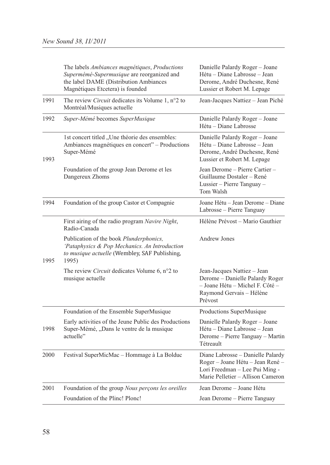|      | The labels Ambiances magnétiques, Productions<br>Supermémé-Supermusique are reorganized and<br>the label DAME (Distribution Ambiances<br>Magnétiques Etcetera) is founded | Danielle Palardy Roger - Joane<br>Hétu - Diane Labrosse - Jean<br>Derome, André Duchesne, René<br>Lussier et Robert M. Lepage                |
|------|---------------------------------------------------------------------------------------------------------------------------------------------------------------------------|----------------------------------------------------------------------------------------------------------------------------------------------|
| 1991 | The review <i>Circuit</i> dedicates its Volume 1, $n^{\circ}2$ to<br>Montréal/Musiques actuelle                                                                           | Jean-Jacques Nattiez - Jean Piché                                                                                                            |
| 1992 | Super-Mémé becomes SuperMusique                                                                                                                                           | Danielle Palardy Roger - Joane<br>Hétu – Diane Labrosse                                                                                      |
| 1993 | 1st concert titled "Une théorie des ensembles:<br>Ambiances magnétiques en concert" - Productions<br>Super-Mémé                                                           | Danielle Palardy Roger - Joane<br>Hétu – Diane Labrosse – Jean<br>Derome, André Duchesne, René<br>Lussier et Robert M. Lepage                |
|      | Foundation of the group Jean Derome et les<br>Dangereux Zhoms                                                                                                             | Jean Derome - Pierre Cartier -<br>Guillaume Dostaler - René<br>Lussier - Pierre Tanguay -<br>Tom Walsh                                       |
| 1994 | Foundation of the group Castor et Compagnie                                                                                                                               | Joane Hétu - Jean Derome - Diane<br>Labrosse - Pierre Tanguay                                                                                |
|      | First airing of the radio program Navire Night,<br>Radio-Canada                                                                                                           | Hélène Prévost - Mario Gauthier                                                                                                              |
| 1995 | Publication of the book Plunderphonics,<br>'Pataphysics & Pop Mechanics. An Introduction<br>to musique actuelle (Wembley, SAF Publishing,<br>1995)                        | <b>Andrew Jones</b>                                                                                                                          |
|      | The review <i>Circuit</i> dedicates Volume 6, n°2 to<br>musique actuelle                                                                                                  | Jean-Jacques Nattiez - Jean<br>Derome - Danielle Palardy Roger<br>- Joane Hétu - Michel F. Côté -<br>Raymond Gervais - Hélène<br>Prévost     |
|      | Foundation of the Ensemble SuperMusique                                                                                                                                   | Productions SuperMusique                                                                                                                     |
| 1998 | Early activities of the Jeune Public des Productions<br>Super-Mémé, "Dans le ventre de la musique<br>actuelle"                                                            | Danielle Palardy Roger - Joane<br>Hétu – Diane Labrosse – Jean<br>Derome – Pierre Tanguay – Martin<br>Tétreault                              |
| 2000 | Festival SuperMicMac - Hommage à La Bolduc                                                                                                                                | Diane Labrosse - Danielle Palardy<br>Roger - Joane Hétu - Jean René -<br>Lori Freedman - Lee Pui Ming -<br>Marie Pelletier - Allison Cameron |
| 2001 | Foundation of the group Nous perçons les oreilles                                                                                                                         | Jean Derome - Joane Hétu                                                                                                                     |
|      | Foundation of the Plinc! Plonc!                                                                                                                                           | Jean Derome - Pierre Tanguay                                                                                                                 |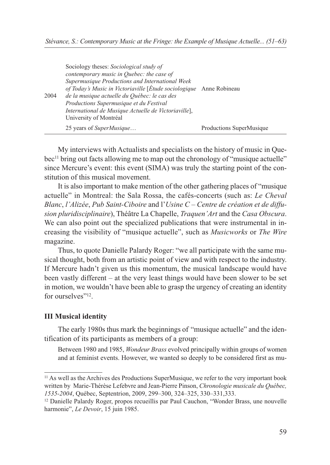| 2004 | Sociology theses: Sociological study of<br>contemporary music in Quebec: the case of<br>Supermusique Productions and International Week<br>of Today's Music in Victoriaville [Étude sociologique Anne Robineau<br>de la musique actuelle du Québec: le cas des<br>Productions Supermusique et du Festival<br>International de Musique Actuelle de Victoriaville],<br>University of Montréal |                          |
|------|---------------------------------------------------------------------------------------------------------------------------------------------------------------------------------------------------------------------------------------------------------------------------------------------------------------------------------------------------------------------------------------------|--------------------------|
|      | 25 years of <i>SuperMusique</i>                                                                                                                                                                                                                                                                                                                                                             | Productions SuperMusique |

My interviews with Actualists and specialists on the history of music in Quebec<sup>11</sup> bring out facts allowing me to map out the chronology of "musique actuelle" since Mercure's event: this event (SIMA) was truly the starting point of the constitution of this musical movement.

It is also important to make mention of the other gathering places of "musique actuelle" in Montreal: the Sala Rossa, the cafés-concerts (such as: *Le Cheval Blanc*, *l'Alizée*, *Pub Saint-Ciboire* and l'*Usine C – Centre de création et de diffusion pluridisciplinaire*), Théâtre La Chapelle, *Traquen'Art* and the *Casa Obscura*. We can also point out the specialized publications that were instrumental in increasing the visibility of "musique actuelle", such as *Musicworks* or *The Wire* magazine.

Thus, to quote Danielle Palardy Roger: "we all participate with the same musical thought, both from an artistic point of view and with respect to the industry. If Mercure hadn't given us this momentum, the musical landscape would have been vastly different – at the very least things would have been slower to be set in motion, we wouldn't have been able to grasp the urgency of creating an identity for ourselves"<sup>12</sup>

# **III Musical identity**

The early 1980s thus mark the beginnings of "musique actuelle" and the identification of its participants as members of a group:

Between 1980 and 1985, *Wondeur Brass* evolved principally within groups of women and at feminist events. However, we wanted so deeply to be considered first as mu-

<sup>11</sup> As well as the Archives des Productions SuperMusique, we refer to the very important book written by Marie-Thérèse Lefebvre and Jean-Pierre Pinson, *Chronologie musicale du Québec, 1535-2004*, Québec, Septentrion, 2009, 299–300, 324–325, 330–331,333.

<sup>12</sup> Danielle Palardy Roger, propos recueillis par Paul Cauchon, "Wonder Brass, une nouvelle harmonie", *Le Devoir*, 15 juin 1985.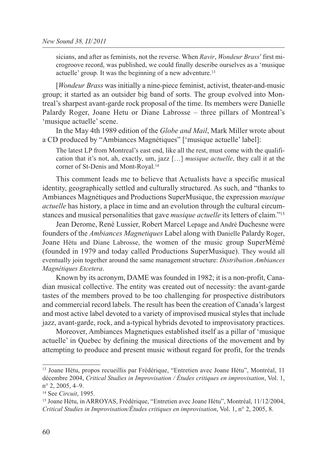sicians, and after as feminists, not the reverse. When *Ravir*, *Wondeur Brass*' first microgroove record, was published, we could finally describe ourselves as a 'musique actuelle' group. It was the beginning of a new adventure.13

[*Wondeur Brass* was initially a nine-piece feminist, activist, theater-and-music group; it started as an outsider big band of sorts. The group evolved into Montreal's sharpest avant-garde rock proposal of the time. Its members were Danielle Palardy Roger, Joane Hetu or Diane Labrosse – three pillars of Montreal's 'musique actuelle' scene.

In the May 4th 1989 edition of the *Globe and Mail*, Mark Miller wrote about a CD produced by "Ambiances Magnétiques" ['musique actuelle' label]:

The latest LP from Montreal's east end, like all the rest, must come with the qualification that it's not, ah, exactly, um, jazz […] *musique actuelle*, they call it at the corner of St-Denis and Mont-Royal.14

This comment leads me to believe that Actualists have a specific musical identity, geographically settled and culturally structured. As such, and "thanks to Ambiances Magnétiques and Productions SuperMusique, the expression *musique actuelle* has history, a place in time and an evolution through the cultural circumstances and musical personalities that gave *musique actuelle* its letters of claim."15

Jean Derome, René Lussier, Robert Marcel Lepage and André Duchesne were founders of the *Ambiances Magnetiques* Label along with Danielle Palardy Roger, Joane Hétu and Diane Labrosse, the women of the music group SuperMémé (founded in 1979 and today called Productions SuperMusique). They would all eventually join together around the same management structure: *Distribution Ambiances Magnétiques Etcetera*.

Known by its acronym, DAME was founded in 1982; it is a non-profit, Canadian musical collective. The entity was created out of necessity: the avant-garde tastes of the members proved to be too challenging for prospective distributors and commercial record labels. The result has been the creation of Canada's largest and most active label devoted to a variety of improvised musical styles that include jazz, avant-garde, rock, and a-typical hybrids devoted to improvisatory practices.

Moreover, Ambiances Magnetiques established itself as a pillar of 'musique actuelle' in Quebec by defining the musical directions of the movement and by attempting to produce and present music without regard for profit, for the trends

<sup>13</sup> Joane Hétu, propos recueillis par Frédérique, "Entretien avec Joane Hétu", Montréal, 11 décembre 2004, *Critical Studies in Improvisation / Études critiques en improvisation*, Vol. 1, n° 2, 2005, 4–9.

<sup>14</sup> See *Circuit*, 1995.

<sup>15</sup> Joane Hétu, in ARROYAS, Frédérique, "Entretien avec Joane Hétu", Montréal, 11/12/2004, *Critical Studies in Improvisation/Études critiques en improvisation*, Vol. 1, n° 2, 2005, 8.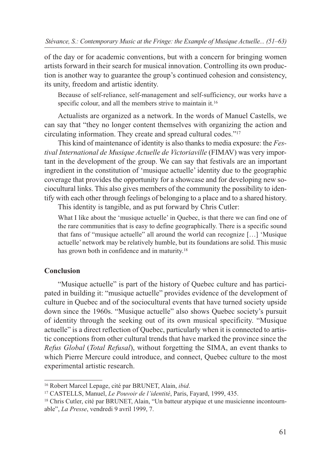of the day or for academic conventions, but with a concern for bringing women artists forward in their search for musical innovation. Controlling its own production is another way to guarantee the group's continued cohesion and consistency, its unity, freedom and artistic identity.

Because of self-reliance, self-management and self-sufficiency, our works have a specific colour, and all the members strive to maintain it.<sup>16</sup>

Actualists are organized as a network. In the words of Manuel Castells, we can say that "they no longer content themselves with organizing the action and circulating information. They create and spread cultural codes."17

This kind of maintenance of identity is also thanks to media exposure: the *Festival International de Musique Actuelle de Victoriaville* (FIMAV) was very important in the development of the group. We can say that festivals are an important ingredient in the constitution of 'musique actuelle' identity due to the geographic coverage that provides the opportunity for a showcase and for developing new sociocultural links. This also gives members of the community the possibility to identify with each other through feelings of belonging to a place and to a shared history.

This identity is tangible, and as put forward by Chris Cutler:

What I like about the 'musique actuelle' in Quebec, is that there we can find one of the rare communities that is easy to define geographically. There is a specific sound that fans of "musique actuelle" all around the world can recognize […] 'Musique actuelle' network may be relatively humble, but its foundations are solid. This music has grown both in confidence and in maturity.<sup>18</sup>

# **Conclusion**

"Musique actuelle" is part of the history of Quebec culture and has participated in building it: "musique actuelle" provides evidence of the development of culture in Quebec and of the sociocultural events that have turned society upside down since the 1960s. "Musique actuelle" also shows Quebec society's pursuit of identity through the seeking out of its own musical specificity. "Musique actuelle" is a direct reflection of Quebec, particularly when it is connected to artistic conceptions from other cultural trends that have marked the province since the *Refus Global* (*Total Refusal*), without forgetting the SIMA, an event thanks to which Pierre Mercure could introduce, and connect, Quebec culture to the most experimental artistic research.

<sup>16</sup> Robert Marcel Lepage, cité par BRUNET, Alain, *ibid*. 17 CASTELLS, Manuel, *Le Pouvoir de l'identité*, Paris, Fayard, 1999, 435.

<sup>18</sup> Chris Cutler, cité par BRUNET, Alain, "Un batteur atypique et une musicienne incontournable", *La Presse*, vendredi 9 avril 1999, 7.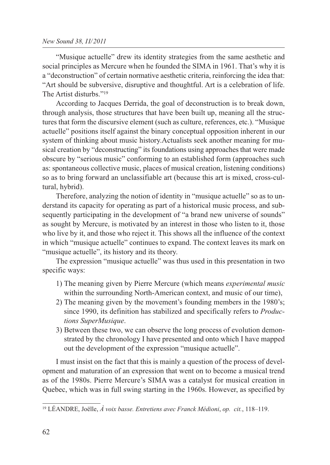### *New Sound 38, II/2011*

"Musique actuelle" drew its identity strategies from the same aesthetic and social principles as Mercure when he founded the SIMA in 1961. That's why it is a "deconstruction" of certain normative aesthetic criteria, reinforcing the idea that: "Art should be subversive, disruptive and thoughtful. Art is a celebration of life. The Artist disturbs."19

According to Jacques Derrida, the goal of deconstruction is to break down, through analysis, those structures that have been built up, meaning all the structures that form the discursive element (such as culture, references, etc.). "Musique actuelle" positions itself against the binary conceptual opposition inherent in our system of thinking about music history.Actualists seek another meaning for musical creation by "deconstructing" its foundations using approaches that were made obscure by "serious music" conforming to an established form (approaches such as: spontaneous collective music, places of musical creation, listening conditions) so as to bring forward an unclassifiable art (because this art is mixed, cross-cultural, hybrid).

Therefore, analyzing the notion of identity in "musique actuelle" so as to understand its capacity for operating as part of a historical music process, and subsequently participating in the development of "a brand new universe of sounds" as sought by Mercure, is motivated by an interest in those who listen to it, those who live by it, and those who reject it. This shows all the influence of the context in which "musique actuelle" continues to expand. The context leaves its mark on "musique actuelle", its history and its theory.

The expression "musique actuelle" was thus used in this presentation in two specific ways:

- 1) The meaning given by Pierre Mercure (which means *experimental music* within the surrounding North-American context, and music of our time),
- 2) The meaning given by the movement's founding members in the 1980's; since 1990, its definition has stabilized and specifically refers to *Productions SuperMusique*.
- 3) Between these two, we can observe the long process of evolution demonstrated by the chronology I have presented and onto which I have mapped out the development of the expression "musique actuelle".

I must insist on the fact that this is mainly a question of the process of development and maturation of an expression that went on to become a musical trend as of the 1980s. Pierre Mercure's SIMA was a catalyst for musical creation in Quebec, which was in full swing starting in the 1960s. However, as specified by

<sup>19</sup> LÉANDRE, Joëlle, *À voix basse. Entretiens avec Franck Médioni*, *op. cit.*, 118–119.